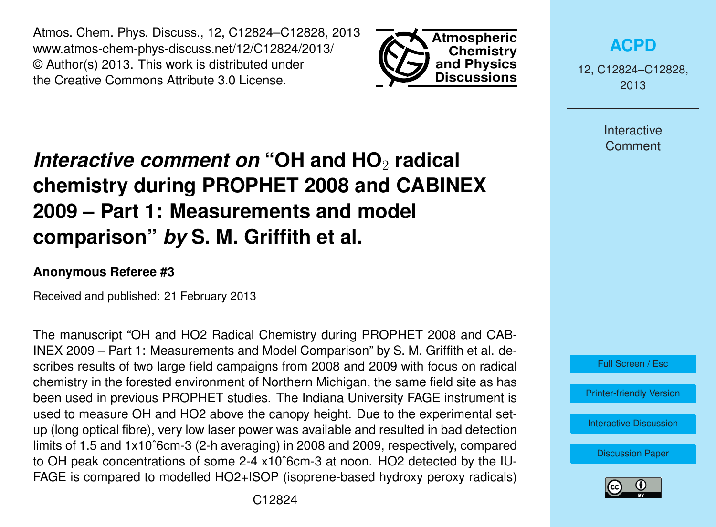Atmos. Chem. Phys. Discuss., 12, C12824–C12828, 2013 www.atmos-chem-phys-discuss.net/12/C12824/2013/ © Author(s) 2013. This work is distributed under the Creative Commons Attribute 3.0 License.



# *Interactive comment on* "OH and HO<sub>2</sub> radical **chemistry during PROPHET 2008 and CABINEX 2009 – Part 1: Measurements and model comparison"** *by* **S. M. Griffith et al.**

#### **Anonymous Referee #3**

Received and published: 21 February 2013

The manuscript "OH and HO2 Radical Chemistry during PROPHET 2008 and CAB-INEX 2009 – Part 1: Measurements and Model Comparison" by S. M. Griffith et al. describes results of two large field campaigns from 2008 and 2009 with focus on radical chemistry in the forested environment of Northern Michigan, the same field site as has been used in previous PROPHET studies. The Indiana University FAGE instrument is used to measure OH and HO2 above the canopy height. Due to the experimental setup (long optical fibre), very low laser power was available and resulted in bad detection limits of 1.5 and 1x10ˆ6cm-3 (2-h averaging) in 2008 and 2009, respectively, compared to OH peak concentrations of some 2-4 x10ˆ6cm-3 at noon. HO2 detected by the IU-FAGE is compared to modelled HO2+ISOP (isoprene-based hydroxy peroxy radicals) **[ACPD](http://www.atmos-chem-phys-discuss.net)**

12, C12824–C12828, 2013

> Interactive **Comment**



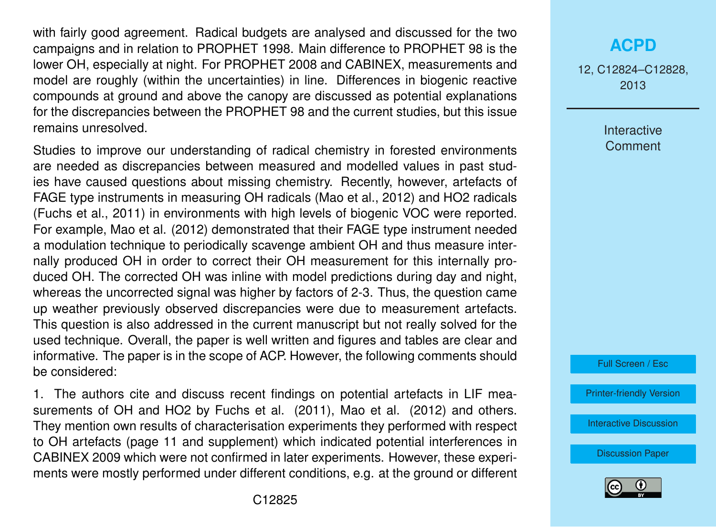with fairly good agreement. Radical budgets are analysed and discussed for the two campaigns and in relation to PROPHET 1998. Main difference to PROPHET 98 is the lower OH, especially at night. For PROPHET 2008 and CABINEX, measurements and model are roughly (within the uncertainties) in line. Differences in biogenic reactive compounds at ground and above the canopy are discussed as potential explanations for the discrepancies between the PROPHET 98 and the current studies, but this issue remains unresolved.

Studies to improve our understanding of radical chemistry in forested environments are needed as discrepancies between measured and modelled values in past studies have caused questions about missing chemistry. Recently, however, artefacts of FAGE type instruments in measuring OH radicals (Mao et al., 2012) and HO2 radicals (Fuchs et al., 2011) in environments with high levels of biogenic VOC were reported. For example, Mao et al. (2012) demonstrated that their FAGE type instrument needed a modulation technique to periodically scavenge ambient OH and thus measure internally produced OH in order to correct their OH measurement for this internally produced OH. The corrected OH was inline with model predictions during day and night, whereas the uncorrected signal was higher by factors of 2-3. Thus, the question came up weather previously observed discrepancies were due to measurement artefacts. This question is also addressed in the current manuscript but not really solved for the used technique. Overall, the paper is well written and figures and tables are clear and informative. The paper is in the scope of ACP. However, the following comments should be considered:

1. The authors cite and discuss recent findings on potential artefacts in LIF measurements of OH and HO2 by Fuchs et al. (2011), Mao et al. (2012) and others. They mention own results of characterisation experiments they performed with respect to OH artefacts (page 11 and supplement) which indicated potential interferences in CABINEX 2009 which were not confirmed in later experiments. However, these experiments were mostly performed under different conditions, e.g. at the ground or different

## **[ACPD](http://www.atmos-chem-phys-discuss.net)**

12, C12824–C12828, 2013

> Interactive **Comment**



[Printer-friendly Version](http://www.atmos-chem-phys-discuss.net/12/C12824/2013/acpd-12-C12824-2013-print.pdf)

[Interactive Discussion](http://www.atmos-chem-phys-discuss.net/12/33165/2012/acpd-12-33165-2012-discussion.html)

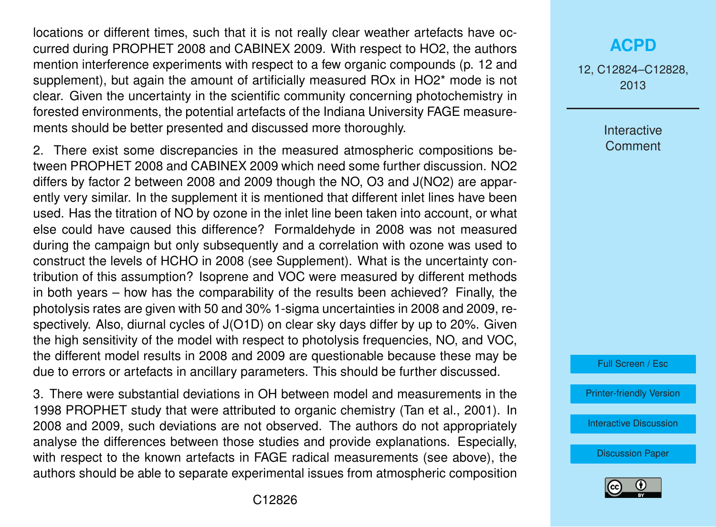locations or different times, such that it is not really clear weather artefacts have occurred during PROPHET 2008 and CABINEX 2009. With respect to HO2, the authors mention interference experiments with respect to a few organic compounds (p. 12 and supplement), but again the amount of artificially measured ROx in HO2\* mode is not clear. Given the uncertainty in the scientific community concerning photochemistry in forested environments, the potential artefacts of the Indiana University FAGE measurements should be better presented and discussed more thoroughly.

2. There exist some discrepancies in the measured atmospheric compositions between PROPHET 2008 and CABINEX 2009 which need some further discussion. NO2 differs by factor 2 between 2008 and 2009 though the NO, O3 and J(NO2) are apparently very similar. In the supplement it is mentioned that different inlet lines have been used. Has the titration of NO by ozone in the inlet line been taken into account, or what else could have caused this difference? Formaldehyde in 2008 was not measured during the campaign but only subsequently and a correlation with ozone was used to construct the levels of HCHO in 2008 (see Supplement). What is the uncertainty contribution of this assumption? Isoprene and VOC were measured by different methods in both years – how has the comparability of the results been achieved? Finally, the photolysis rates are given with 50 and 30% 1-sigma uncertainties in 2008 and 2009, respectively. Also, diurnal cycles of J(O1D) on clear sky days differ by up to 20%. Given the high sensitivity of the model with respect to photolysis frequencies, NO, and VOC, the different model results in 2008 and 2009 are questionable because these may be due to errors or artefacts in ancillary parameters. This should be further discussed.

3. There were substantial deviations in OH between model and measurements in the 1998 PROPHET study that were attributed to organic chemistry (Tan et al., 2001). In 2008 and 2009, such deviations are not observed. The authors do not appropriately analyse the differences between those studies and provide explanations. Especially, with respect to the known artefacts in FAGE radical measurements (see above), the authors should be able to separate experimental issues from atmospheric composition

## **[ACPD](http://www.atmos-chem-phys-discuss.net)**

12, C12824–C12828, 2013

> Interactive **Comment**



[Printer-friendly Version](http://www.atmos-chem-phys-discuss.net/12/C12824/2013/acpd-12-C12824-2013-print.pdf)

[Interactive Discussion](http://www.atmos-chem-phys-discuss.net/12/33165/2012/acpd-12-33165-2012-discussion.html)

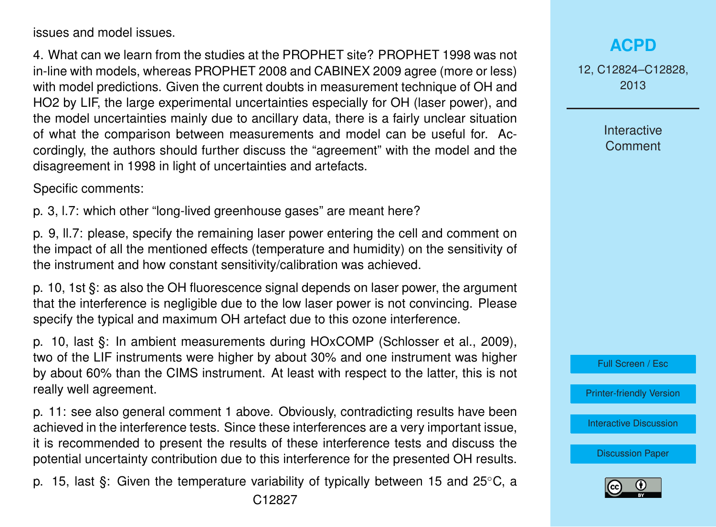issues and model issues.

4. What can we learn from the studies at the PROPHET site? PROPHET 1998 was not in-line with models, whereas PROPHET 2008 and CABINEX 2009 agree (more or less) with model predictions. Given the current doubts in measurement technique of OH and HO2 by LIF, the large experimental uncertainties especially for OH (laser power), and the model uncertainties mainly due to ancillary data, there is a fairly unclear situation of what the comparison between measurements and model can be useful for. Accordingly, the authors should further discuss the "agreement" with the model and the disagreement in 1998 in light of uncertainties and artefacts.

Specific comments:

p. 3, l.7: which other "long-lived greenhouse gases" are meant here?

p. 9, ll.7: please, specify the remaining laser power entering the cell and comment on the impact of all the mentioned effects (temperature and humidity) on the sensitivity of the instrument and how constant sensitivity/calibration was achieved.

p. 10, 1st §: as also the OH fluorescence signal depends on laser power, the argument that the interference is negligible due to the low laser power is not convincing. Please specify the typical and maximum OH artefact due to this ozone interference.

p. 10, last §: In ambient measurements during HOxCOMP (Schlosser et al., 2009), two of the LIF instruments were higher by about 30% and one instrument was higher by about 60% than the CIMS instrument. At least with respect to the latter, this is not really well agreement.

p. 11: see also general comment 1 above. Obviously, contradicting results have been achieved in the interference tests. Since these interferences are a very important issue, it is recommended to present the results of these interference tests and discuss the potential uncertainty contribution due to this interference for the presented OH results.

p. 15, last §: Given the temperature variability of typically between 15 and 25◦C, a C12827

## **[ACPD](http://www.atmos-chem-phys-discuss.net)**

12, C12824–C12828, 2013

> **Interactive Comment**



[Printer-friendly Version](http://www.atmos-chem-phys-discuss.net/12/C12824/2013/acpd-12-C12824-2013-print.pdf)

[Interactive Discussion](http://www.atmos-chem-phys-discuss.net/12/33165/2012/acpd-12-33165-2012-discussion.html)